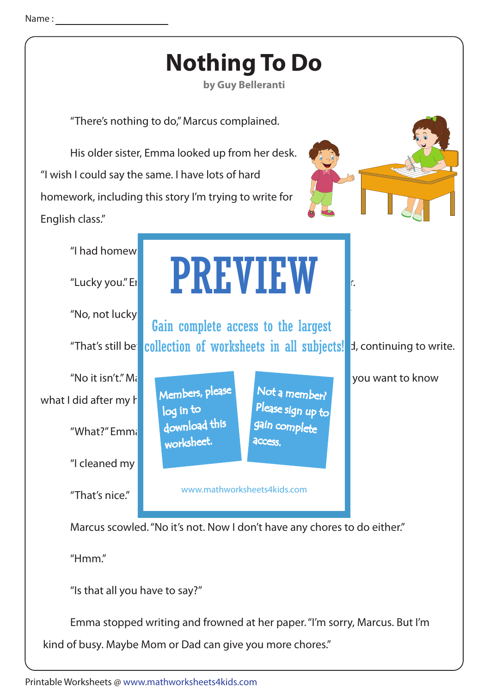

 Emma stopped writing and frowned at her paper. "I'm sorry, Marcus. But I'm kind of busy. Maybe Mom or Dad can give you more chores."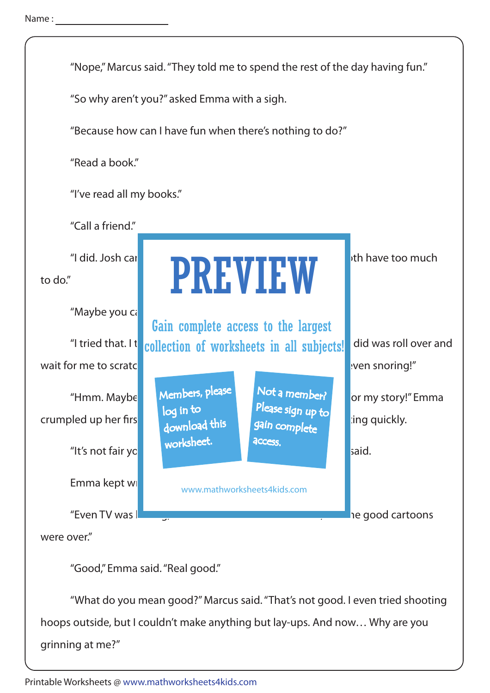

 "What do you mean good?" Marcus said. "That's not good. I even tried shooting hoops outside, but I couldn't make anything but lay-ups. And now… Why are you grinning at me?"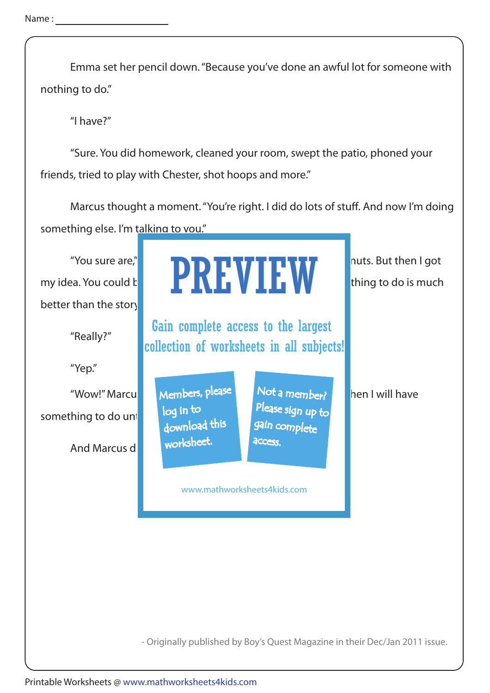Name :

 Emma set her pencil down. "Because you've done an awful lot for someone with nothing to do."

"I have?"

 "Sure. You did homework, cleaned your room, swept the patio, phoned your friends, tried to play with Chester, shot hoops and more."

Marcus thought a moment. "You're right. I did do lots of stuff. And now I'm doing something else. I'm talking to you."

better than the story

"Really?"

"Yep."

"Wow!" Marcus **Members, please a story, too. Then I will have** something to do uni

And Marcus di

## "You sure are," **Emma agreed. The Trunch agreed of the surfer and agreed.** The nuts. But then I got my idea. You could  ${\sf t}$  is a much state in the  ${\sf v}$  in the  ${\sf v}$   ${\sf v}$  in thing to do is much PREVIEW

Gain complete access to the largest collection of worksheets in all subjects!

Members, please download this worksheet. log in to

 gain complete Please sign up to **access** 

www.mathworksheets4kids.com

- Originally published by Boy's Quest Magazine in their Dec/Jan 2011 issue.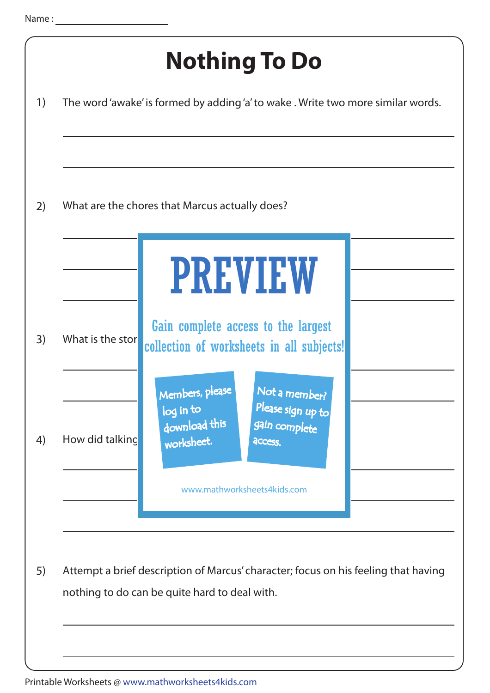